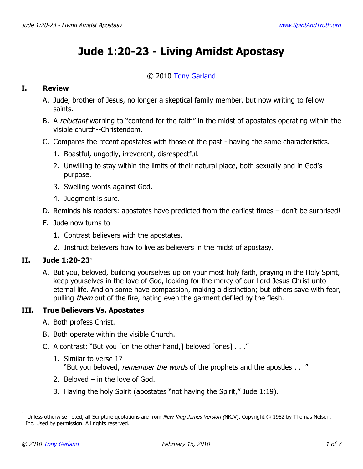# **Jude 1:20-23 - Living Amidst Apostasy**

### © 2010 [Tony Garland](http://www.spiritandtruth.org/id/tg.htm)

#### **I. Review**

- A. Jude, brother of Jesus, no longer a skeptical family member, but now writing to fellow saints.
- B. A *reluctant* warning to "contend for the faith" in the midst of apostates operating within the visible church--Christendom.
- C. Compares the recent apostates with those of the past having the same characteristics.
	- 1. Boastful, ungodly, irreverent, disrespectful.
	- 2. Unwilling to stay within the limits of their natural place, both sexually and in God's purpose.
	- 3. Swelling words against God.
	- 4. Judgment is sure.
- D. Reminds his readers: apostates have predicted from the earliest times don't be surprised!
- E. Jude now turns to
	- 1. Contrast believers with the apostates.
	- 2. Instruct believers how to live as believers in the midst of apostasy.

#### **II. Jude 1:20-23[1](#page-0-0)**

A. But you, beloved, building yourselves up on your most holy faith, praying in the Holy Spirit, keep yourselves in the love of God, looking for the mercy of our Lord Jesus Christ unto eternal life. And on some have compassion, making a distinction; but others save with fear, pulling *them* out of the fire, hating even the garment defiled by the flesh.

### **III. True Believers Vs. Apostates**

- A. Both profess Christ.
- B. Both operate within the visible Church.
- C. A contrast: "But you [on the other hand,] beloved [ones] . . ."
	- 1. Similar to verse 17 "But you beloved, *remember the words* of the prophets and the apostles . . ."
	- 2. Beloved in the love of God.
	- 3. Having the holy Spirit (apostates "not having the Spirit," Jude 1:19).

<span id="page-0-0"></span> $^1$  Unless otherwise noted, all Scripture quotations are from *New King James Version (*NKJV). Copyright © 1982 by Thomas Nelson, Inc. Used by permission. All rights reserved.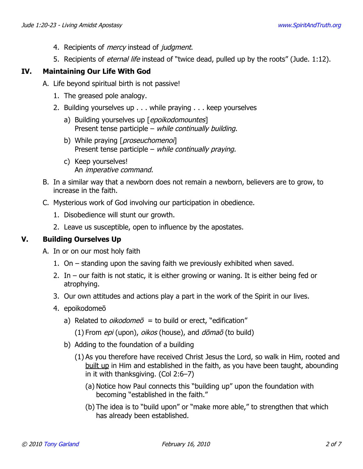- 4. Recipients of *mercy* instead of *judgment*.
- 5. Recipients of *eternal life* instead of "twice dead, pulled up by the roots" (Jude. 1:12).

# **IV. Maintaining Our Life With God**

- A. Life beyond spiritual birth is not passive!
	- 1. The greased pole analogy.
	- 2. Building yourselves up . . . while praying . . . keep yourselves
		- a) Building yourselves up [epoikodomountes] Present tense participle – while continually building.
		- b) While praying [*proseuchomenoi*] Present tense participle – while continually praying.
		- c) Keep yourselves! An imperative command.
- B. In a similar way that a newborn does not remain a newborn, believers are to grow, to increase in the faith.
- C. Mysterious work of God involving our participation in obedience.
	- 1. Disobedience will stunt our growth.
	- 2. Leave us susceptible, open to influence by the apostates.

### **V. Building Ourselves Up**

A. In or on our most holy faith

- 1. On standing upon the saving faith we previously exhibited when saved.
- 2. In our faith is not static, it is either growing or waning. It is either being fed or atrophying.
- 3. Our own attitudes and actions play a part in the work of the Spirit in our lives.
- 4. epoikodomeō
	- a) Related to *oikodome* $\bar{o}$  = to build or erect, "edification"
		- (1) From  $epi$  (upon),  $oikos$  (house), and  $d\bar{o}ma\bar{o}$  (to build)
	- b) Adding to the foundation of a building
		- (1) As you therefore have received Christ Jesus the Lord, so walk in Him, rooted and built up in Him and established in the faith, as you have been taught, abounding in it with thanksgiving. (Col 2:6–7)
			- (a) Notice how Paul connects this "building up" upon the foundation with becoming "established in the faith."
			- (b) The idea is to "build upon" or "make more able," to strengthen that which has already been established.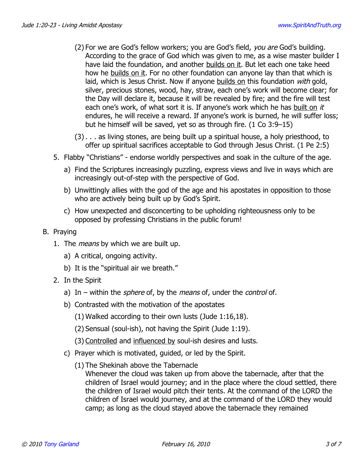- (2) For we are God's fellow workers; you are God's field, *you are* God's building. According to the grace of God which was given to me, as a wise master builder I have laid the foundation, and another builds on it. But let each one take heed how he builds on it. For no other foundation can anyone lay than that which is laid, which is Jesus Christ. Now if anyone builds on this foundation with gold, silver, precious stones, wood, hay, straw, each one's work will become clear; for the Day will declare it, because it will be revealed by fire; and the fire will test each one's work, of what sort it is. If anyone's work which he has built on it endures, he will receive a reward. If anyone's work is burned, he will suffer loss; but he himself will be saved, yet so as through fire. (1 Co 3:9–15)
- (3) . . . as living stones, are being built up a spiritual house, a holy priesthood, to offer up spiritual sacrifices acceptable to God through Jesus Christ. (1 Pe 2:5)
- 5. Flabby "Christians" endorse worldly perspectives and soak in the culture of the age.
	- a) Find the Scriptures increasingly puzzling, express views and live in ways which are increasingly out-of-step with the perspective of God.
	- b) Unwittingly allies with the god of the age and his apostates in opposition to those who are actively being built up by God's Spirit.
	- c) How unexpected and disconcerting to be upholding righteousness only to be opposed by professing Christians in the public forum!
- B. Praying
	- 1. The *means* by which we are built up.
		- a) A critical, ongoing activity.
		- b) It is the "spiritual air we breath."
	- 2. In the Spirit
		- a) In within the *sphere* of, by the *means* of, under the *control* of.
		- b) Contrasted with the motivation of the apostates
			- (1) Walked according to their own lusts (Jude 1:16,18).
			- (2) Sensual (soul-ish), not having the Spirit (Jude 1:19).
			- (3) Controlled and influenced by soul-ish desires and lusts.
		- c) Prayer which is motivated, guided, or led by the Spirit.
			- (1) The Shekinah above the Tabernacle

Whenever the cloud was taken up from above the tabernacle, after that the children of Israel would journey; and in the place where the cloud settled, there the children of Israel would pitch their tents. At the command of the LORD the children of Israel would journey, and at the command of the LORD they would camp; as long as the cloud stayed above the tabernacle they remained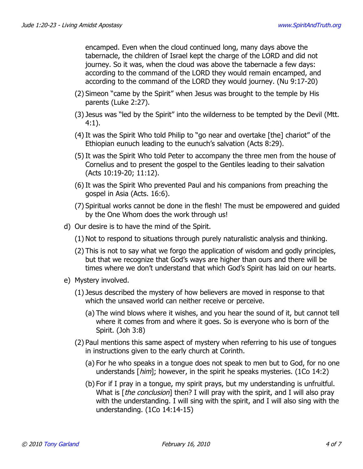encamped. Even when the cloud continued long, many days above the tabernacle, the children of Israel kept the charge of the LORD and did not journey. So it was, when the cloud was above the tabernacle a few days: according to the command of the LORD they would remain encamped, and according to the command of the LORD they would journey. (Nu 9:17-20)

- (2) Simeon "came by the Spirit" when Jesus was brought to the temple by His parents (Luke 2:27).
- (3) Jesus was "led by the Spirit" into the wilderness to be tempted by the Devil (Mtt. 4:1).
- (4) It was the Spirit Who told Philip to "go near and overtake [the] chariot" of the Ethiopian eunuch leading to the eunuch's salvation (Acts 8:29).
- (5) It was the Spirit Who told Peter to accompany the three men from the house of Cornelius and to present the gospel to the Gentiles leading to their salvation (Acts 10:19-20; 11:12).
- (6) It was the Spirit Who prevented Paul and his companions from preaching the gospel in Asia (Acts. 16:6).
- (7) Spiritual works cannot be done in the flesh! The must be empowered and guided by the One Whom does the work through us!
- d) Our desire is to have the mind of the Spirit.
	- (1) Not to respond to situations through purely naturalistic analysis and thinking.
	- (2) This is not to say what we forgo the application of wisdom and godly principles, but that we recognize that God's ways are higher than ours and there will be times where we don't understand that which God's Spirit has laid on our hearts.
- e) Mystery involved.
	- (1) Jesus described the mystery of how believers are moved in response to that which the unsaved world can neither receive or perceive.
		- (a) The wind blows where it wishes, and you hear the sound of it, but cannot tell where it comes from and where it goes. So is everyone who is born of the Spirit. (Joh 3:8)
	- (2) Paul mentions this same aspect of mystery when referring to his use of tongues in instructions given to the early church at Corinth.
		- (a) For he who speaks in a tongue does not speak to men but to God, for no one understands  $\lceil him \rceil$ ; however, in the spirit he speaks mysteries. (1Co 14:2)
		- (b) For if I pray in a tongue, my spirit prays, but my understanding is unfruitful. What is [the conclusion] then? I will pray with the spirit, and I will also pray with the understanding. I will sing with the spirit, and I will also sing with the understanding. (1Co 14:14-15)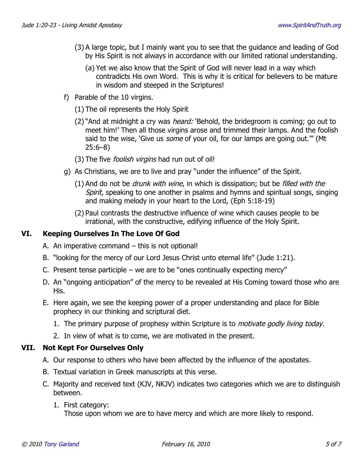- (3) A large topic, but I mainly want you to see that the guidance and leading of God by His Spirit is not always in accordance with our limited rational understanding.
	- (a) Yet we also know that the Spirit of God will never lead in a way which contradicts His own Word. This is why it is critical for believers to be mature in wisdom and steeped in the Scriptures!
- f) Parable of the 10 virgins.
	- (1) The oil represents the Holy Spirit
	- (2) "And at midnight a cry was *heard:* 'Behold, the bridegroom is coming; go out to meet him!' Then all those virgins arose and trimmed their lamps. And the foolish said to the wise, 'Give us *some* of your oil, for our lamps are going out."" (Mt 25:6–8)
	- (3) The five *foolish virgins* had run out of oil!
- g) As Christians, we are to live and pray "under the influence" of the Spirit.
	- $(1)$  And do not be *drunk with wine*, in which is dissipation; but be *filled with the* Spirit, speaking to one another in psalms and hymns and spiritual songs, singing and making melody in your heart to the Lord, (Eph 5:18-19)
	- (2) Paul contrasts the destructive influence of wine which causes people to be irrational, with the constructive, edifying influence of the Holy Spirit.

## **VI. Keeping Ourselves In The Love Of God**

- A. An imperative command this is not optional!
- B. "looking for the mercy of our Lord Jesus Christ unto eternal life" (Jude 1:21).
- C. Present tense participle we are to be "ones continually expecting mercy"
- D. An "ongoing anticipation" of the mercy to be revealed at His Coming toward those who are His.
- E. Here again, we see the keeping power of a proper understanding and place for Bible prophecy in our thinking and scriptural diet.
	- 1. The primary purpose of prophesy within Scripture is to *motivate godly living today*.
	- 2. In view of what is to come, we are motivated in the present.

### **VII. Not Kept For Ourselves Only**

- A. Our response to others who have been affected by the influence of the apostates.
- B. Textual variation in Greek manuscripts at this verse.
- C. Majority and received text (KJV, NKJV) indicates two categories which we are to distinguish between.
	- 1. First category:

Those upon whom we are to have mercy and which are more likely to respond.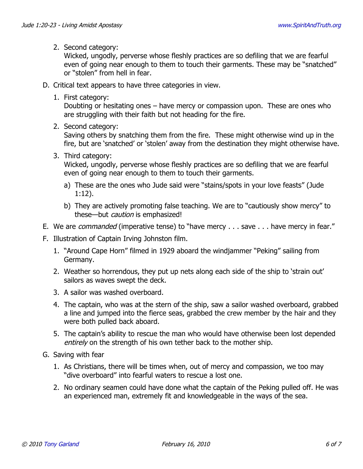### 2. Second category:

Wicked, ungodly, perverse whose fleshly practices are so defiling that we are fearful even of going near enough to them to touch their garments. These may be "snatched" or "stolen" from hell in fear.

- D. Critical text appears to have three categories in view.
	- 1. First category:

Doubting or hesitating ones – have mercy or compassion upon. These are ones who are struggling with their faith but not heading for the fire.

2. Second category:

Saving others by snatching them from the fire. These might otherwise wind up in the fire, but are 'snatched' or 'stolen' away from the destination they might otherwise have.

3. Third category:

Wicked, ungodly, perverse whose fleshly practices are so defiling that we are fearful even of going near enough to them to touch their garments.

- a) These are the ones who Jude said were "stains/spots in your love feasts" (Jude 1:12).
- b) They are actively promoting false teaching. We are to "cautiously show mercy" to these—but caution is emphasized!
- E. We are *commanded* (imperative tense) to "have mercy . . . save . . . have mercy in fear."
- F. Illustration of Captain Irving Johnston film.
	- 1. "Around Cape Horn" filmed in 1929 aboard the windjammer "Peking" sailing from Germany.
	- 2. Weather so horrendous, they put up nets along each side of the ship to 'strain out' sailors as waves swept the deck.
	- 3. A sailor was washed overboard.
	- 4. The captain, who was at the stern of the ship, saw a sailor washed overboard, grabbed a line and jumped into the fierce seas, grabbed the crew member by the hair and they were both pulled back aboard.
	- 5. The captain's ability to rescue the man who would have otherwise been lost depended entirely on the strength of his own tether back to the mother ship.
- G. Saving with fear
	- 1. As Christians, there will be times when, out of mercy and compassion, we too may "dive overboard" into fearful waters to rescue a lost one.
	- 2. No ordinary seamen could have done what the captain of the Peking pulled off. He was an experienced man, extremely fit and knowledgeable in the ways of the sea.